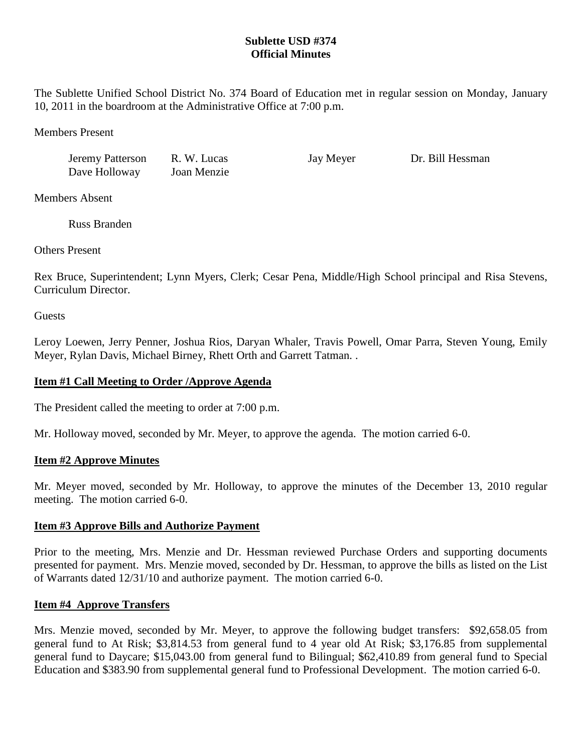# **Sublette USD #374 Official Minutes**

The Sublette Unified School District No. 374 Board of Education met in regular session on Monday, January 10, 2011 in the boardroom at the Administrative Office at 7:00 p.m.

Members Present

Jeremy Patterson R. W. Lucas Jay Meyer Dr. Bill Hessman Dave Holloway Joan Menzie

Members Absent

Russ Branden

Others Present

Rex Bruce, Superintendent; Lynn Myers, Clerk; Cesar Pena, Middle/High School principal and Risa Stevens, Curriculum Director.

**Guests** 

Leroy Loewen, Jerry Penner, Joshua Rios, Daryan Whaler, Travis Powell, Omar Parra, Steven Young, Emily Meyer, Rylan Davis, Michael Birney, Rhett Orth and Garrett Tatman. .

# **Item #1 Call Meeting to Order /Approve Agenda**

The President called the meeting to order at 7:00 p.m.

Mr. Holloway moved, seconded by Mr. Meyer, to approve the agenda. The motion carried 6-0.

## **Item #2 Approve Minutes**

Mr. Meyer moved, seconded by Mr. Holloway, to approve the minutes of the December 13, 2010 regular meeting. The motion carried 6-0.

## **Item #3 Approve Bills and Authorize Payment**

Prior to the meeting, Mrs. Menzie and Dr. Hessman reviewed Purchase Orders and supporting documents presented for payment. Mrs. Menzie moved, seconded by Dr. Hessman, to approve the bills as listed on the List of Warrants dated 12/31/10 and authorize payment. The motion carried 6-0.

## **Item #4 Approve Transfers**

Mrs. Menzie moved, seconded by Mr. Meyer, to approve the following budget transfers: \$92,658.05 from general fund to At Risk; \$3,814.53 from general fund to 4 year old At Risk; \$3,176.85 from supplemental general fund to Daycare; \$15,043.00 from general fund to Bilingual; \$62,410.89 from general fund to Special Education and \$383.90 from supplemental general fund to Professional Development. The motion carried 6-0.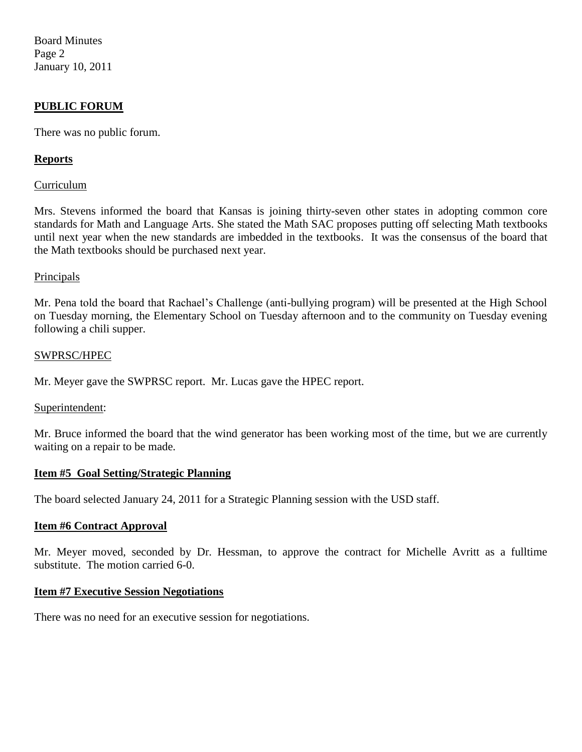Board Minutes Page 2 January 10, 2011

# **PUBLIC FORUM**

There was no public forum.

# **Reports**

## Curriculum

Mrs. Stevens informed the board that Kansas is joining thirty-seven other states in adopting common core standards for Math and Language Arts. She stated the Math SAC proposes putting off selecting Math textbooks until next year when the new standards are imbedded in the textbooks. It was the consensus of the board that the Math textbooks should be purchased next year.

### **Principals**

Mr. Pena told the board that Rachael's Challenge (anti-bullying program) will be presented at the High School on Tuesday morning, the Elementary School on Tuesday afternoon and to the community on Tuesday evening following a chili supper.

### SWPRSC/HPEC

Mr. Meyer gave the SWPRSC report. Mr. Lucas gave the HPEC report.

### Superintendent:

Mr. Bruce informed the board that the wind generator has been working most of the time, but we are currently waiting on a repair to be made.

### **Item #5 Goal Setting/Strategic Planning**

The board selected January 24, 2011 for a Strategic Planning session with the USD staff.

### **Item #6 Contract Approval**

Mr. Meyer moved, seconded by Dr. Hessman, to approve the contract for Michelle Avritt as a fulltime substitute. The motion carried 6-0.

### **Item #7 Executive Session Negotiations**

There was no need for an executive session for negotiations.